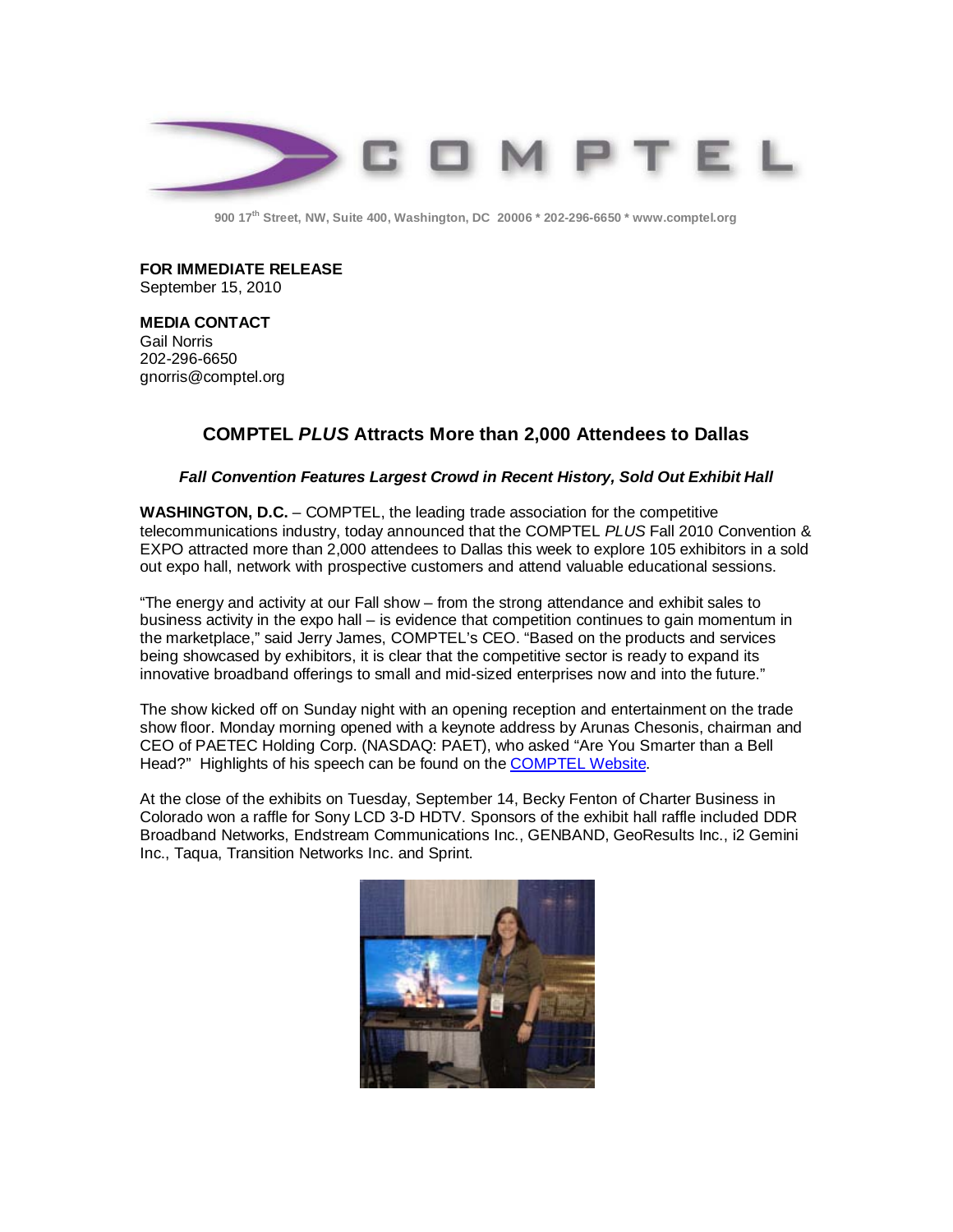

**900 17th Street, NW, Suite 400, Washington, DC 20006 \* 202-296-6650 \* [www.comptel.org](http://www.comptel.org/)**

**FOR IMMEDIATE RELEASE** September 15, 2010

**MEDIA CONTACT** Gail Norris 202-296-6650 [gnorris@comptel.org](mailto:gnorris@comptel.org)

## **COMPTEL** *PLUS* **Attracts More than 2,000 Attendees to Dallas**

## *Fall Convention Features Largest Crowd in Recent History, Sold Out Exhibit Hall*

**WASHINGTON, D.C.** – COMPTEL, the leading trade association for the competitive telecommunications industry, today announced that the COMPTEL *PLUS* Fall 2010 Convention & EXPO attracted more than 2,000 attendees to Dallas this week to explore 105 exhibitors in a sold out expo hall, network with prospective customers and attend valuable educational sessions.

"The energy and activity at our Fall show – from the strong attendance and exhibit sales to business activity in the expo hall – is evidence that competition continues to gain momentum in the marketplace," said Jerry James, COMPTEL's CEO. "Based on the products and services being showcased by exhibitors, it is clear that the competitive sector is ready to expand its innovative broadband offerings to small and mid-sized enterprises now and into the future."

The show kicked off on Sunday night with an opening reception and entertainment on the trade show floor. Monday morning opened with a keynote address by Arunas Chesonis, chairman and CEO of PAETEC Holding Corp. (NASDAQ: PAET), who asked "Are You Smarter than a Bell Head?" Highlights of his speech can be found on the [COMPTEL Website.](http://www.comptel.org/content.asp?pl=481&contentid=622)

At the close of the exhibits on Tuesday, September 14, Becky Fenton of Charter Business in Colorado won a raffle for Sony LCD 3-D HDTV. Sponsors of the exhibit hall raffle included DDR Broadband Networks, Endstream Communications Inc., GENBAND, GeoResults Inc., i2 Gemini Inc., Taqua, Transition Networks Inc. and Sprint.